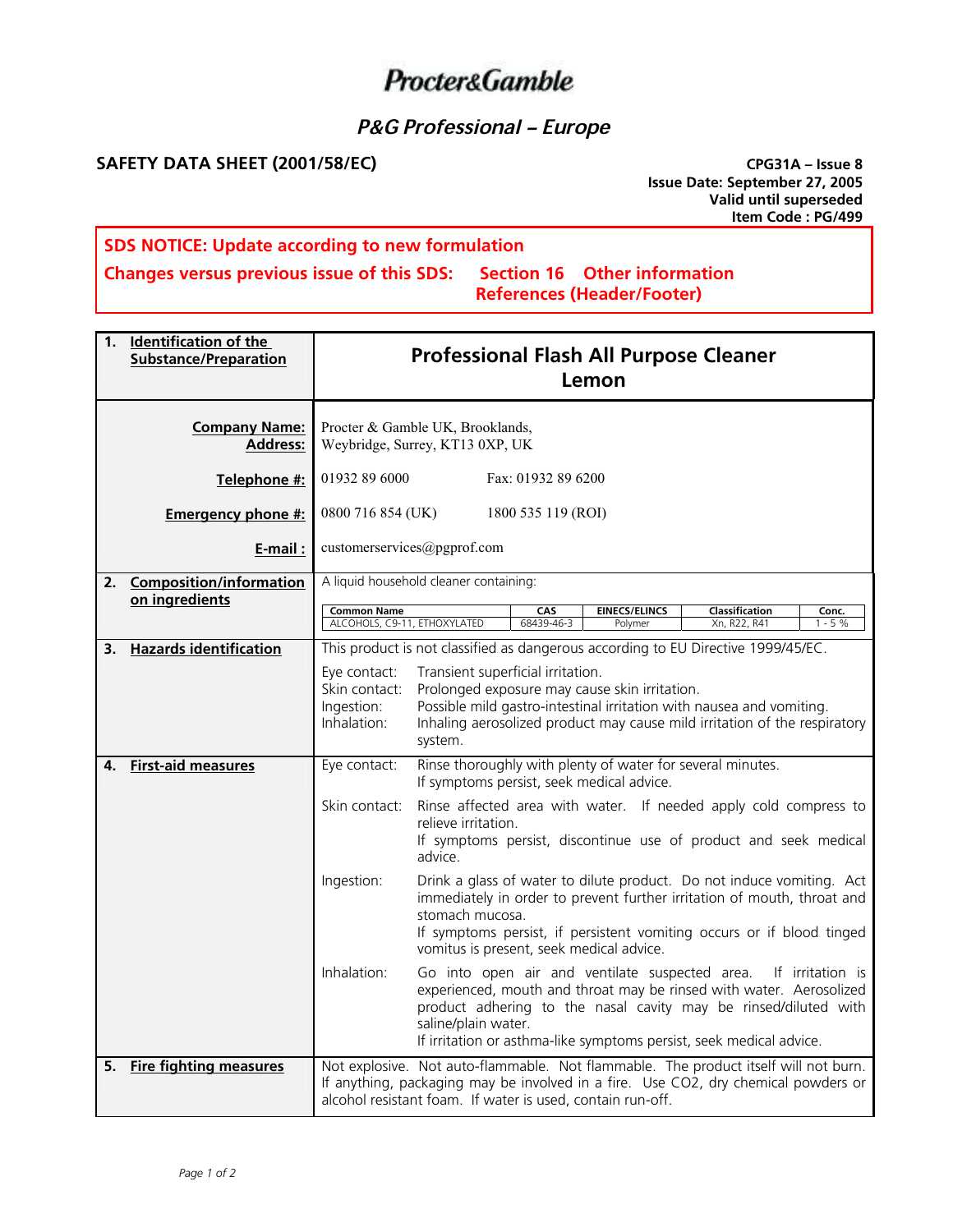## Procter&Gamble

### **P&G Professional - Europe**

#### **SAFETY DATA SHEET (2001/58/EC) CPG31A – Issue 8**

**Issue Date: September 27, 2005 Valid until superseded Item Code : PG/499** 

#### **SDS NOTICE: Update according to new formulation Changes versus previous issue of this SDS: Section 16 Other information References (Header/Footer)**

|    | 1. Identification of the<br><b>Substance/Preparation</b> | <b>Professional Flash All Purpose Cleaner</b><br>Lemon                                                                                                                                                                                                                                                           |                                                                                                                                                                                                                                                                                                            |                   |                                 |                                |                   |
|----|----------------------------------------------------------|------------------------------------------------------------------------------------------------------------------------------------------------------------------------------------------------------------------------------------------------------------------------------------------------------------------|------------------------------------------------------------------------------------------------------------------------------------------------------------------------------------------------------------------------------------------------------------------------------------------------------------|-------------------|---------------------------------|--------------------------------|-------------------|
|    | <b>Company Name:</b><br><b>Address:</b>                  | Procter & Gamble UK, Brooklands,<br>Weybridge, Surrey, KT13 0XP, UK                                                                                                                                                                                                                                              |                                                                                                                                                                                                                                                                                                            |                   |                                 |                                |                   |
|    | Telephone #:                                             | 01932 89 6000<br>Fax: 01932 89 6200<br>0800 716 854 (UK)<br>1800 535 119 (ROI)<br>customerservices@pgprof.com                                                                                                                                                                                                    |                                                                                                                                                                                                                                                                                                            |                   |                                 |                                |                   |
|    | <b>Emergency phone #:</b>                                |                                                                                                                                                                                                                                                                                                                  |                                                                                                                                                                                                                                                                                                            |                   |                                 |                                |                   |
|    | E-mail:                                                  |                                                                                                                                                                                                                                                                                                                  |                                                                                                                                                                                                                                                                                                            |                   |                                 |                                |                   |
|    | 2. Composition/information<br>on ingredients             | A liquid household cleaner containing:                                                                                                                                                                                                                                                                           |                                                                                                                                                                                                                                                                                                            |                   |                                 |                                |                   |
|    |                                                          | <b>Common Name</b><br>ALCOHOLS, C9-11, ETHOXYLATED                                                                                                                                                                                                                                                               |                                                                                                                                                                                                                                                                                                            | CAS<br>68439-46-3 | <b>EINECS/ELINCS</b><br>Polymer | Classification<br>Xn, R22, R41 | Conc.<br>$1 - 5%$ |
| 3. | <b>Hazards identification</b>                            | This product is not classified as dangerous according to EU Directive 1999/45/EC.                                                                                                                                                                                                                                |                                                                                                                                                                                                                                                                                                            |                   |                                 |                                |                   |
|    |                                                          | Transient superficial irritation.<br>Eye contact:<br>Skin contact:<br>Prolonged exposure may cause skin irritation.<br>Ingestion:<br>Possible mild gastro-intestinal irritation with nausea and vomiting.<br>Inhalation:<br>Inhaling aerosolized product may cause mild irritation of the respiratory<br>system. |                                                                                                                                                                                                                                                                                                            |                   |                                 |                                |                   |
| 4. | <b>First-aid measures</b>                                | Eye contact:                                                                                                                                                                                                                                                                                                     | Rinse thoroughly with plenty of water for several minutes.<br>If symptoms persist, seek medical advice.                                                                                                                                                                                                    |                   |                                 |                                |                   |
|    |                                                          | Skin contact:                                                                                                                                                                                                                                                                                                    | Rinse affected area with water. If needed apply cold compress to<br>relieve irritation.<br>If symptoms persist, discontinue use of product and seek medical<br>advice.                                                                                                                                     |                   |                                 |                                |                   |
|    |                                                          | Ingestion:                                                                                                                                                                                                                                                                                                       | Drink a glass of water to dilute product. Do not induce vomiting. Act<br>immediately in order to prevent further irritation of mouth, throat and<br>stomach mucosa.<br>If symptoms persist, if persistent vomiting occurs or if blood tinged<br>vomitus is present, seek medical advice.                   |                   |                                 |                                |                   |
|    |                                                          | Inhalation:                                                                                                                                                                                                                                                                                                      | Go into open air and ventilate suspected area.<br>If irritation is<br>experienced, mouth and throat may be rinsed with water. Aerosolized<br>product adhering to the nasal cavity may be rinsed/diluted with<br>saline/plain water.<br>If irritation or asthma-like symptoms persist, seek medical advice. |                   |                                 |                                |                   |
| 5. | <b>Fire fighting measures</b>                            | Not explosive. Not auto-flammable. Not flammable. The product itself will not burn.<br>If anything, packaging may be involved in a fire. Use CO2, dry chemical powders or<br>alcohol resistant foam. If water is used, contain run-off.                                                                          |                                                                                                                                                                                                                                                                                                            |                   |                                 |                                |                   |